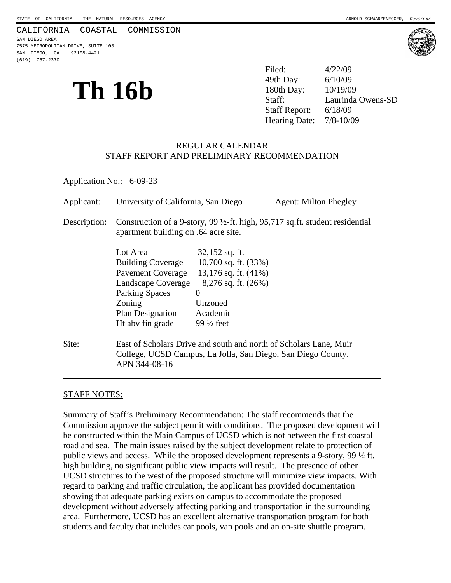#### CALIFORNIA COASTAL COMMISSION

SAN DIEGO AREA 7575 METROPOLITAN DRIVE, SUITE 103 SAN DIEGO, CA 92108-4421 (619) 767-2370

**Th**  $16b$   $^{49th Day: 6/10/09}$   $^{180th Day: 10/19/09}$   $^{180th Day: 10/19/09}$  Laurinda Filed: 4/22/09 49th Day: Laurinda Owens-SD Staff Report: 6/18/09 Hearing Date: 7/8-10/09

#### REGULAR CALENDAR STAFF REPORT AND PRELIMINARY RECOMMENDATION

Application No.: 6-09-23

| Applicant:   | University of California, San Diego                                                                                                                               |                                                                                                                                                             | <b>Agent: Milton Phegley</b> |
|--------------|-------------------------------------------------------------------------------------------------------------------------------------------------------------------|-------------------------------------------------------------------------------------------------------------------------------------------------------------|------------------------------|
| Description: | Construction of a 9-story, 99 $\frac{1}{2}$ -ft. high, 95,717 sq.ft. student residential<br>apartment building on .64 acre site.                                  |                                                                                                                                                             |                              |
|              | Lot Area<br><b>Building Coverage</b><br><b>Pavement Coverage</b><br>Landscape Coverage<br><b>Parking Spaces</b><br>Zoning<br>Plan Designation<br>Ht aby fin grade | $32,152$ sq. ft.<br>10,700 sq. ft. $(33%)$<br>13,176 sq. ft. $(41\%)$<br>$8,276$ sq. ft. $(26%)$<br>$\Omega$<br>Unzoned<br>Academic<br>$99\frac{1}{2}$ feet |                              |
| Site:        | East of Scholars Drive and south and north of Scholars Lane, Muir<br>College, UCSD Campus, La Jolla, San Diego, San Diego County.<br>APN 344-08-16                |                                                                                                                                                             |                              |

### STAFF NOTES:

Summary of Staff's Preliminary Recommendation: The staff recommends that the Commission approve the subject permit with conditions. The proposed development will be constructed within the Main Campus of UCSD which is not between the first coastal road and sea. The main issues raised by the subject development relate to protection of public views and access. While the proposed development represents a 9-story, 99 ½ ft. high building, no significant public view impacts will result. The presence of other UCSD structures to the west of the proposed structure will minimize view impacts. With regard to parking and traffic circulation, the applicant has provided documentation showing that adequate parking exists on campus to accommodate the proposed development without adversely affecting parking and transportation in the surrounding area. Furthermore, UCSD has an excellent alternative transportation program for both students and faculty that includes car pools, van pools and an on-site shuttle program.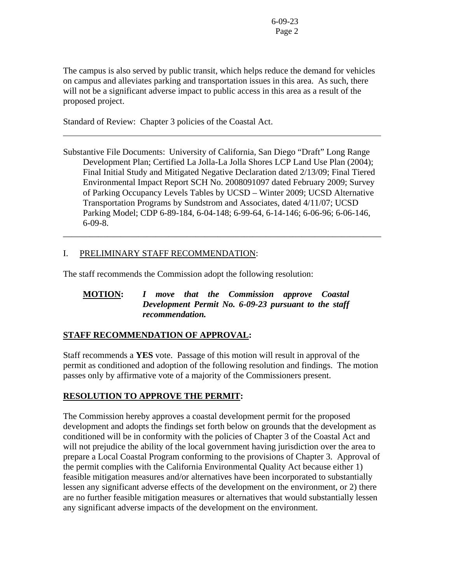The campus is also served by public transit, which helps reduce the demand for vehicles on campus and alleviates parking and transportation issues in this area. As such, there will not be a significant adverse impact to public access in this area as a result of the proposed project.

Standard of Review: Chapter 3 policies of the Coastal Act.

l

Substantive File Documents: University of California, San Diego "Draft" Long Range Development Plan; Certified La Jolla-La Jolla Shores LCP Land Use Plan (2004); Final Initial Study and Mitigated Negative Declaration dated 2/13/09; Final Tiered Environmental Impact Report SCH No. 2008091097 dated February 2009; Survey of Parking Occupancy Levels Tables by UCSD – Winter 2009; UCSD Alternative Transportation Programs by Sundstrom and Associates, dated 4/11/07; UCSD Parking Model; CDP 6-89-184, 6-04-148; 6-99-64, 6-14-146; 6-06-96; 6-06-146, 6-09-8.

\_\_\_\_\_\_\_\_\_\_\_\_\_\_\_\_\_\_\_\_\_\_\_\_\_\_\_\_\_\_\_\_\_\_\_\_\_\_\_\_\_\_\_\_\_\_\_\_\_\_\_\_\_\_\_\_\_\_\_\_\_\_\_\_\_\_\_\_\_\_\_\_

## I. PRELIMINARY STAFF RECOMMENDATION:

The staff recommends the Commission adopt the following resolution:

## **MOTION:** *I move that the Commission approve Coastal Development Permit No. 6-09-23 pursuant to the staff recommendation.*

### **STAFF RECOMMENDATION OF APPROVAL:**

Staff recommends a **YES** vote. Passage of this motion will result in approval of the permit as conditioned and adoption of the following resolution and findings. The motion passes only by affirmative vote of a majority of the Commissioners present.

# **RESOLUTION TO APPROVE THE PERMIT:**

The Commission hereby approves a coastal development permit for the proposed development and adopts the findings set forth below on grounds that the development as conditioned will be in conformity with the policies of Chapter 3 of the Coastal Act and will not prejudice the ability of the local government having jurisdiction over the area to prepare a Local Coastal Program conforming to the provisions of Chapter 3. Approval of the permit complies with the California Environmental Quality Act because either 1) feasible mitigation measures and/or alternatives have been incorporated to substantially lessen any significant adverse effects of the development on the environment, or 2) there are no further feasible mitigation measures or alternatives that would substantially lessen any significant adverse impacts of the development on the environment.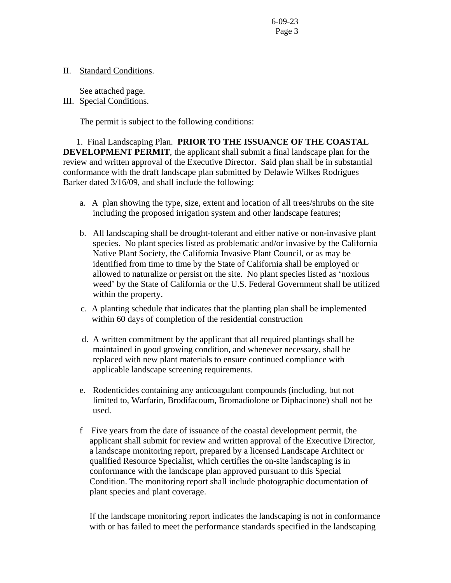## II. Standard Conditions.

See attached page.

III. Special Conditions.

The permit is subject to the following conditions:

 1. Final Landscaping Plan. **PRIOR TO THE ISSUANCE OF THE COASTAL DEVELOPMENT PERMIT**, the applicant shall submit a final landscape plan for the review and written approval of the Executive Director. Said plan shall be in substantial conformance with the draft landscape plan submitted by Delawie Wilkes Rodrigues Barker dated 3/16/09, and shall include the following:

- a. A plan showing the type, size, extent and location of all trees/shrubs on the site including the proposed irrigation system and other landscape features;
- b. All landscaping shall be drought-tolerant and either native or non-invasive plant species. No plant species listed as problematic and/or invasive by the California Native Plant Society, the California Invasive Plant Council, or as may be identified from time to time by the State of California shall be employed or allowed to naturalize or persist on the site. No plant species listed as 'noxious weed' by the State of California or the U.S. Federal Government shall be utilized within the property.
- c. A planting schedule that indicates that the planting plan shall be implemented within 60 days of completion of the residential construction
- d. A written commitment by the applicant that all required plantings shall be maintained in good growing condition, and whenever necessary, shall be replaced with new plant materials to ensure continued compliance with applicable landscape screening requirements.
- e. Rodenticides containing any anticoagulant compounds (including, but not limited to, Warfarin, Brodifacoum, Bromadiolone or Diphacinone) shall not be used.
- f Five years from the date of issuance of the coastal development permit, the applicant shall submit for review and written approval of the Executive Director, a landscape monitoring report, prepared by a licensed Landscape Architect or qualified Resource Specialist, which certifies the on-site landscaping is in conformance with the landscape plan approved pursuant to this Special Condition. The monitoring report shall include photographic documentation of plant species and plant coverage.

 If the landscape monitoring report indicates the landscaping is not in conformance with or has failed to meet the performance standards specified in the landscaping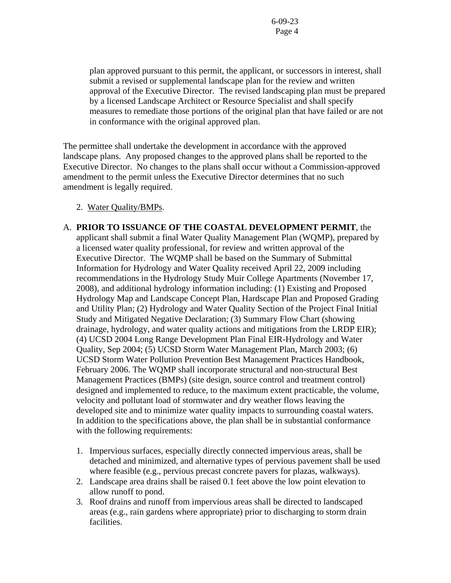plan approved pursuant to this permit, the applicant, or successors in interest, shall submit a revised or supplemental landscape plan for the review and written approval of the Executive Director. The revised landscaping plan must be prepared by a licensed Landscape Architect or Resource Specialist and shall specify measures to remediate those portions of the original plan that have failed or are not in conformance with the original approved plan.

The permittee shall undertake the development in accordance with the approved landscape plans. Any proposed changes to the approved plans shall be reported to the Executive Director. No changes to the plans shall occur without a Commission-approved amendment to the permit unless the Executive Director determines that no such amendment is legally required.

- 2. Water Quality/BMPs.
- A. **PRIOR TO ISSUANCE OF THE COASTAL DEVELOPMENT PERMIT**, the applicant shall submit a final Water Quality Management Plan (WQMP), prepared by a licensed water quality professional, for review and written approval of the Executive Director. The WQMP shall be based on the Summary of Submittal Information for Hydrology and Water Quality received April 22, 2009 including recommendations in the Hydrology Study Muir College Apartments (November 17, 2008), and additional hydrology information including: (1) Existing and Proposed Hydrology Map and Landscape Concept Plan, Hardscape Plan and Proposed Grading and Utility Plan; (2) Hydrology and Water Quality Section of the Project Final Initial Study and Mitigated Negative Declaration; (3) Summary Flow Chart (showing drainage, hydrology, and water quality actions and mitigations from the LRDP EIR); (4) UCSD 2004 Long Range Development Plan Final EIR-Hydrology and Water Quality, Sep 2004; (5) UCSD Storm Water Management Plan, March 2003; (6) UCSD Storm Water Pollution Prevention Best Management Practices Handbook, February 2006. The WQMP shall incorporate structural and non-structural Best Management Practices (BMPs) (site design, source control and treatment control) designed and implemented to reduce, to the maximum extent practicable, the volume, velocity and pollutant load of stormwater and dry weather flows leaving the developed site and to minimize water quality impacts to surrounding coastal waters. In addition to the specifications above, the plan shall be in substantial conformance with the following requirements:
	- 1. Impervious surfaces, especially directly connected impervious areas, shall be detached and minimized, and alternative types of pervious pavement shall be used where feasible (e.g., pervious precast concrete pavers for plazas, walkways).
	- 2. Landscape area drains shall be raised 0.1 feet above the low point elevation to allow runoff to pond.
	- 3. Roof drains and runoff from impervious areas shall be directed to landscaped areas (e.g., rain gardens where appropriate) prior to discharging to storm drain facilities.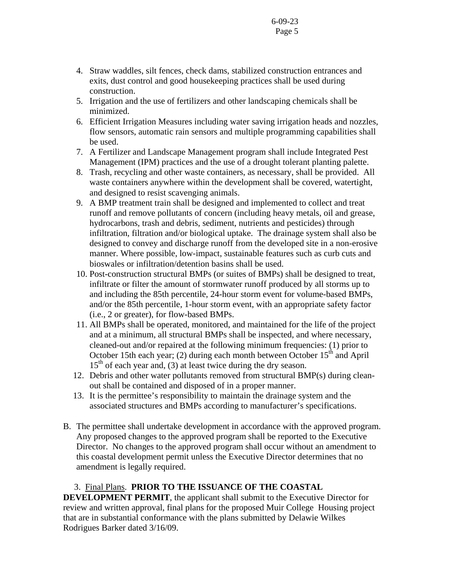- 4. Straw waddles, silt fences, check dams, stabilized construction entrances and exits, dust control and good housekeeping practices shall be used during construction.
- 5. Irrigation and the use of fertilizers and other landscaping chemicals shall be minimized.
- 6. Efficient Irrigation Measures including water saving irrigation heads and nozzles, flow sensors, automatic rain sensors and multiple programming capabilities shall be used.
- 7. A Fertilizer and Landscape Management program shall include Integrated Pest Management (IPM) practices and the use of a drought tolerant planting palette.
- 8. Trash, recycling and other waste containers, as necessary, shall be provided. All waste containers anywhere within the development shall be covered, watertight, and designed to resist scavenging animals.
- 9. A BMP treatment train shall be designed and implemented to collect and treat runoff and remove pollutants of concern (including heavy metals, oil and grease, hydrocarbons, trash and debris, sediment, nutrients and pesticides) through infiltration, filtration and/or biological uptake. The drainage system shall also be designed to convey and discharge runoff from the developed site in a non-erosive manner. Where possible, low-impact, sustainable features such as curb cuts and bioswales or infiltration/detention basins shall be used.
- 10. Post-construction structural BMPs (or suites of BMPs) shall be designed to treat, infiltrate or filter the amount of stormwater runoff produced by all storms up to and including the 85th percentile, 24-hour storm event for volume-based BMPs, and/or the 85th percentile, 1-hour storm event, with an appropriate safety factor (i.e., 2 or greater), for flow-based BMPs.
- 11. All BMPs shall be operated, monitored, and maintained for the life of the project and at a minimum, all structural BMPs shall be inspected, and where necessary, cleaned-out and/or repaired at the following minimum frequencies: (1) prior to October 15th each year; (2) during each month between October  $15<sup>th</sup>$  and April  $15<sup>th</sup>$  of each year and, (3) at least twice during the dry season.
- 12. Debris and other water pollutants removed from structural BMP(s) during cleanout shall be contained and disposed of in a proper manner.
- 13. It is the permittee's responsibility to maintain the drainage system and the associated structures and BMPs according to manufacturer's specifications.
- B. The permittee shall undertake development in accordance with the approved program. Any proposed changes to the approved program shall be reported to the Executive Director. No changes to the approved program shall occur without an amendment to this coastal development permit unless the Executive Director determines that no amendment is legally required.

# 3. Final Plans. **PRIOR TO THE ISSUANCE OF THE COASTAL**

**DEVELOPMENT PERMIT**, the applicant shall submit to the Executive Director for review and written approval, final plans for the proposed Muir College Housing project that are in substantial conformance with the plans submitted by Delawie Wilkes Rodrigues Barker dated 3/16/09.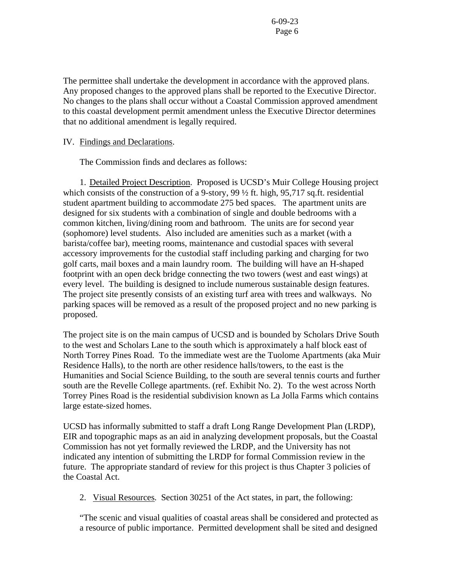The permittee shall undertake the development in accordance with the approved plans. Any proposed changes to the approved plans shall be reported to the Executive Director. No changes to the plans shall occur without a Coastal Commission approved amendment to this coastal development permit amendment unless the Executive Director determines that no additional amendment is legally required.

IV. Findings and Declarations.

The Commission finds and declares as follows:

1. Detailed Project Description. Proposed is UCSD's Muir College Housing project which consists of the construction of a 9-story, 99  $\frac{1}{2}$  ft. high, 95,717 sq.ft. residential student apartment building to accommodate 275 bed spaces. The apartment units are designed for six students with a combination of single and double bedrooms with a common kitchen, living/dining room and bathroom. The units are for second year (sophomore) level students. Also included are amenities such as a market (with a barista/coffee bar), meeting rooms, maintenance and custodial spaces with several accessory improvements for the custodial staff including parking and charging for two golf carts, mail boxes and a main laundry room. The building will have an H-shaped footprint with an open deck bridge connecting the two towers (west and east wings) at every level. The building is designed to include numerous sustainable design features. The project site presently consists of an existing turf area with trees and walkways. No parking spaces will be removed as a result of the proposed project and no new parking is proposed.

The project site is on the main campus of UCSD and is bounded by Scholars Drive South to the west and Scholars Lane to the south which is approximately a half block east of North Torrey Pines Road. To the immediate west are the Tuolome Apartments (aka Muir Residence Halls), to the north are other residence halls/towers, to the east is the Humanities and Social Science Building, to the south are several tennis courts and further south are the Revelle College apartments. (ref. Exhibit No. 2). To the west across North Torrey Pines Road is the residential subdivision known as La Jolla Farms which contains large estate-sized homes.

UCSD has informally submitted to staff a draft Long Range Development Plan (LRDP), EIR and topographic maps as an aid in analyzing development proposals, but the Coastal Commission has not yet formally reviewed the LRDP, and the University has not indicated any intention of submitting the LRDP for formal Commission review in the future. The appropriate standard of review for this project is thus Chapter 3 policies of the Coastal Act.

2. Visual Resources. Section 30251 of the Act states, in part, the following:

"The scenic and visual qualities of coastal areas shall be considered and protected as a resource of public importance. Permitted development shall be sited and designed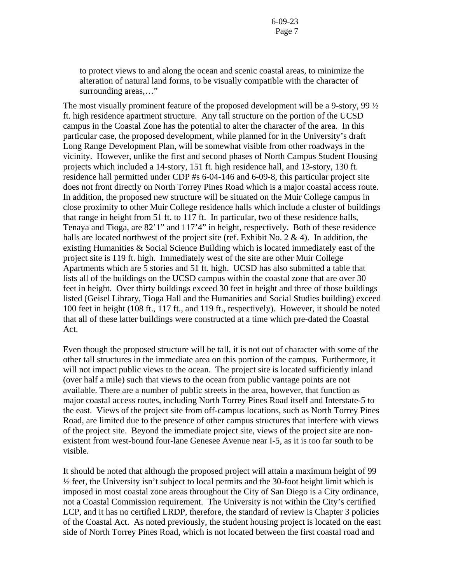to protect views to and along the ocean and scenic coastal areas, to minimize the alteration of natural land forms, to be visually compatible with the character of surrounding areas,…"

The most visually prominent feature of the proposed development will be a 9-story, 99  $\frac{1}{2}$ ft. high residence apartment structure. Any tall structure on the portion of the UCSD campus in the Coastal Zone has the potential to alter the character of the area. In this particular case, the proposed development, while planned for in the University's draft Long Range Development Plan, will be somewhat visible from other roadways in the vicinity. However, unlike the first and second phases of North Campus Student Housing projects which included a 14-story, 151 ft. high residence hall, and 13-story, 130 ft. residence hall permitted under CDP #s 6-04-146 and 6-09-8, this particular project site does not front directly on North Torrey Pines Road which is a major coastal access route. In addition, the proposed new structure will be situated on the Muir College campus in close proximity to other Muir College residence halls which include a cluster of buildings that range in height from 51 ft. to 117 ft. In particular, two of these residence halls, Tenaya and Tioga, are 82'1" and 117'4" in height, respectively. Both of these residence halls are located northwest of the project site (ref. Exhibit No. 2 & 4). In addition, the existing Humanities & Social Science Building which is located immediately east of the project site is 119 ft. high. Immediately west of the site are other Muir College Apartments which are 5 stories and 51 ft. high. UCSD has also submitted a table that lists all of the buildings on the UCSD campus within the coastal zone that are over 30 feet in height. Over thirty buildings exceed 30 feet in height and three of those buildings listed (Geisel Library, Tioga Hall and the Humanities and Social Studies building) exceed 100 feet in height (108 ft., 117 ft., and 119 ft., respectively). However, it should be noted that all of these latter buildings were constructed at a time which pre-dated the Coastal Act.

Even though the proposed structure will be tall, it is not out of character with some of the other tall structures in the immediate area on this portion of the campus. Furthermore, it will not impact public views to the ocean. The project site is located sufficiently inland (over half a mile) such that views to the ocean from public vantage points are not available. There are a number of public streets in the area, however, that function as major coastal access routes, including North Torrey Pines Road itself and Interstate-5 to the east. Views of the project site from off-campus locations, such as North Torrey Pines Road, are limited due to the presence of other campus structures that interfere with views of the project site. Beyond the immediate project site, views of the project site are nonexistent from west-bound four-lane Genesee Avenue near I-5, as it is too far south to be visible.

It should be noted that although the proposed project will attain a maximum height of 99 ½ feet, the University isn't subject to local permits and the 30-foot height limit which is imposed in most coastal zone areas throughout the City of San Diego is a City ordinance, not a Coastal Commission requirement. The University is not within the City's certified LCP, and it has no certified LRDP, therefore, the standard of review is Chapter 3 policies of the Coastal Act. As noted previously, the student housing project is located on the east side of North Torrey Pines Road, which is not located between the first coastal road and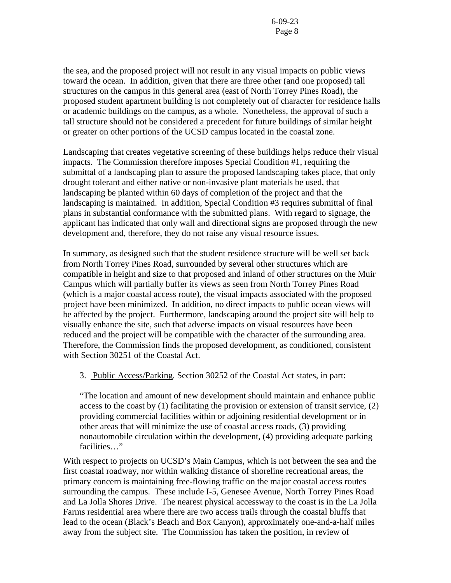the sea, and the proposed project will not result in any visual impacts on public views toward the ocean. In addition, given that there are three other (and one proposed) tall structures on the campus in this general area (east of North Torrey Pines Road), the proposed student apartment building is not completely out of character for residence halls or academic buildings on the campus, as a whole. Nonetheless, the approval of such a tall structure should not be considered a precedent for future buildings of similar height or greater on other portions of the UCSD campus located in the coastal zone.

Landscaping that creates vegetative screening of these buildings helps reduce their visual impacts. The Commission therefore imposes Special Condition #1, requiring the submittal of a landscaping plan to assure the proposed landscaping takes place, that only drought tolerant and either native or non-invasive plant materials be used, that landscaping be planted within 60 days of completion of the project and that the landscaping is maintained. In addition, Special Condition #3 requires submittal of final plans in substantial conformance with the submitted plans. With regard to signage, the applicant has indicated that only wall and directional signs are proposed through the new development and, therefore, they do not raise any visual resource issues.

In summary, as designed such that the student residence structure will be well set back from North Torrey Pines Road, surrounded by several other structures which are compatible in height and size to that proposed and inland of other structures on the Muir Campus which will partially buffer its views as seen from North Torrey Pines Road (which is a major coastal access route), the visual impacts associated with the proposed project have been minimized. In addition, no direct impacts to public ocean views will be affected by the project. Furthermore, landscaping around the project site will help to visually enhance the site, such that adverse impacts on visual resources have been reduced and the project will be compatible with the character of the surrounding area. Therefore, the Commission finds the proposed development, as conditioned, consistent with Section 30251 of the Coastal Act.

3. Public Access/Parking. Section 30252 of the Coastal Act states, in part:

"The location and amount of new development should maintain and enhance public access to the coast by (1) facilitating the provision or extension of transit service, (2) providing commercial facilities within or adjoining residential development or in other areas that will minimize the use of coastal access roads, (3) providing nonautomobile circulation within the development, (4) providing adequate parking facilities…"

With respect to projects on UCSD's Main Campus, which is not between the sea and the first coastal roadway, nor within walking distance of shoreline recreational areas, the primary concern is maintaining free-flowing traffic on the major coastal access routes surrounding the campus. These include I-5, Genesee Avenue, North Torrey Pines Road and La Jolla Shores Drive. The nearest physical accessway to the coast is in the La Jolla Farms residential area where there are two access trails through the coastal bluffs that lead to the ocean (Black's Beach and Box Canyon), approximately one-and-a-half miles away from the subject site. The Commission has taken the position, in review of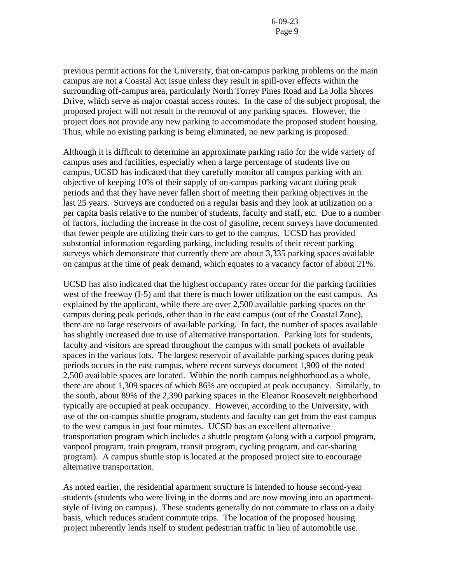previous permit actions for the University, that on-campus parking problems on the main campus are not a Coastal Act issue unless they result in spill-over effects within the surrounding off-campus area, particularly North Torrey Pines Road and La Jolla Shores Drive, which serve as major coastal access routes. In the case of the subject proposal, the proposed project will not result in the removal of any parking spaces. However, the project does not provide any new parking to accommodate the proposed student housing. Thus, while no existing parking is being eliminated, no new parking is proposed.

Although it is difficult to determine an approximate parking ratio for the wide variety of campus uses and facilities, especially when a large percentage of students live on campus, UCSD has indicated that they carefully monitor all campus parking with an objective of keeping 10% of their supply of on-campus parking vacant during peak periods and that they have never fallen short of meeting their parking objectives in the last 25 years. Surveys are conducted on a regular basis and they look at utilization on a per capita basis relative to the number of students, faculty and staff, etc. Due to a number of factors, including the increase in the cost of gasoline, recent surveys have documented that fewer people are utilizing their cars to get to the campus. UCSD has provided substantial information regarding parking, including results of their recent parking surveys which demonstrate that currently there are about 3,335 parking spaces available on campus at the time of peak demand, which equates to a vacancy factor of about 21%.

UCSD has also indicated that the highest occupancy rates occur for the parking facilities west of the freeway (I-5) and that there is much lower utilization on the east campus. As explained by the applicant, while there are over 2,500 available parking spaces on the campus during peak periods, other than in the east campus (out of the Coastal Zone), there are no large reservoirs of available parking. In fact, the number of spaces available has slightly increased due to use of alternative transportation. Parking lots for students, faculty and visitors are spread throughout the campus with small pockets of available spaces in the various lots. The largest reservoir of available parking spaces during peak periods occurs in the east campus, where recent surveys document 1,900 of the noted 2,500 available spaces are located. Within the north campus neighborhood as a whole, there are about 1,309 spaces of which 86% are occupied at peak occupancy. Similarly, to the south, about 89% of the 2,390 parking spaces in the Eleanor Roosevelt neighborhood typically are occupied at peak occupancy. However, according to the University, with use of the on-campus shuttle program, students and faculty can get from the east campus to the west campus in just four minutes. UCSD has an excellent alternative transportation program which includes a shuttle program (along with a carpool program, vanpool program, train program, transit program, cycling program, and car-sharing program). A campus shuttle stop is located at the proposed project site to encourage alternative transportation.

As noted earlier, the residential apartment structure is intended to house second-year students (students who were living in the dorms and are now moving into an apartmentstyle of living on campus). These students generally do not commute to class on a daily basis, which reduces student commute trips. The location of the proposed housing project inherently lends itself to student pedestrian traffic in lieu of automobile use.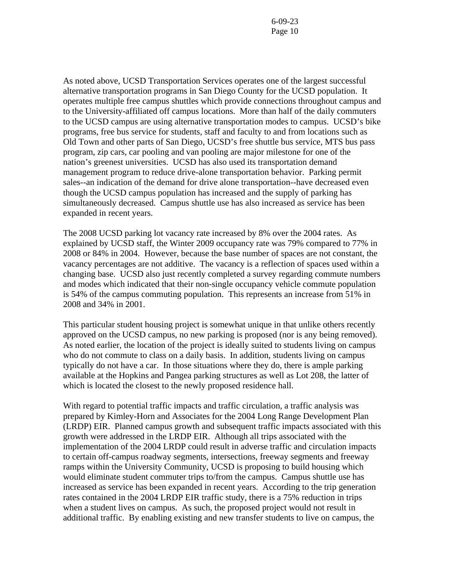As noted above, UCSD Transportation Services operates one of the largest successful alternative transportation programs in San Diego County for the UCSD population. It operates multiple free campus shuttles which provide connections throughout campus and to the University-affiliated off campus locations. More than half of the daily commuters to the UCSD campus are using alternative transportation modes to campus. UCSD's bike programs, free bus service for students, staff and faculty to and from locations such as Old Town and other parts of San Diego, UCSD's free shuttle bus service, MTS bus pass program, zip cars, car pooling and van pooling are major milestone for one of the nation's greenest universities. UCSD has also used its transportation demand management program to reduce drive-alone transportation behavior. Parking permit sales--an indication of the demand for drive alone transportation--have decreased even though the UCSD campus population has increased and the supply of parking has simultaneously decreased. Campus shuttle use has also increased as service has been expanded in recent years.

The 2008 UCSD parking lot vacancy rate increased by 8% over the 2004 rates. As explained by UCSD staff, the Winter 2009 occupancy rate was 79% compared to 77% in 2008 or 84% in 2004. However, because the base number of spaces are not constant, the vacancy percentages are not additive. The vacancy is a reflection of spaces used within a changing base. UCSD also just recently completed a survey regarding commute numbers and modes which indicated that their non-single occupancy vehicle commute population is 54% of the campus commuting population. This represents an increase from 51% in 2008 and 34% in 2001.

This particular student housing project is somewhat unique in that unlike others recently approved on the UCSD campus, no new parking is proposed (nor is any being removed). As noted earlier, the location of the project is ideally suited to students living on campus who do not commute to class on a daily basis. In addition, students living on campus typically do not have a car. In those situations where they do, there is ample parking available at the Hopkins and Pangea parking structures as well as Lot 208, the latter of which is located the closest to the newly proposed residence hall.

With regard to potential traffic impacts and traffic circulation, a traffic analysis was prepared by Kimley-Horn and Associates for the 2004 Long Range Development Plan (LRDP) EIR. Planned campus growth and subsequent traffic impacts associated with this growth were addressed in the LRDP EIR. Although all trips associated with the implementation of the 2004 LRDP could result in adverse traffic and circulation impacts to certain off-campus roadway segments, intersections, freeway segments and freeway ramps within the University Community, UCSD is proposing to build housing which would eliminate student commuter trips to/from the campus. Campus shuttle use has increased as service has been expanded in recent years. According to the trip generation rates contained in the 2004 LRDP EIR traffic study, there is a 75% reduction in trips when a student lives on campus. As such, the proposed project would not result in additional traffic. By enabling existing and new transfer students to live on campus, the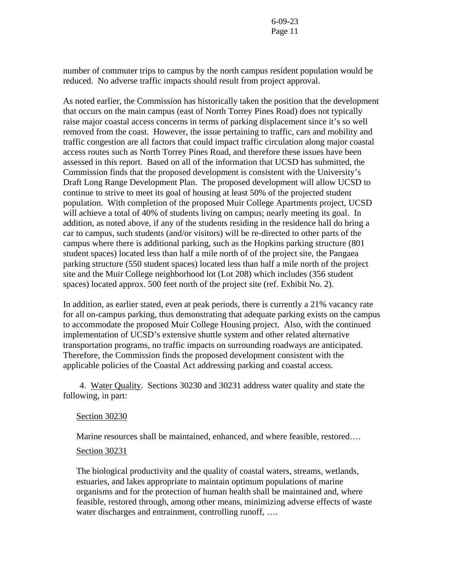number of commuter trips to campus by the north campus resident population would be reduced. No adverse traffic impacts should result from project approval.

As noted earlier, the Commission has historically taken the position that the development that occurs on the main campus (east of North Torrey Pines Road) does not typically raise major coastal access concerns in terms of parking displacement since it's so well removed from the coast. However, the issue pertaining to traffic, cars and mobility and traffic congestion are all factors that could impact traffic circulation along major coastal access routes such as North Torrey Pines Road, and therefore these issues have been assessed in this report. Based on all of the information that UCSD has submitted, the Commission finds that the proposed development is consistent with the University's Draft Long Range Development Plan. The proposed development will allow UCSD to continue to strive to meet its goal of housing at least 50% of the projected student population. With completion of the proposed Muir College Apartments project, UCSD will achieve a total of 40% of students living on campus; nearly meeting its goal. In addition, as noted above, if any of the students residing in the residence hall do bring a car to campus, such students (and/or visitors) will be re-directed to other parts of the campus where there is additional parking, such as the Hopkins parking structure (801 student spaces) located less than half a mile north of of the project site, the Pangaea parking structure (550 student spaces) located less than half a mile north of the project site and the Muir College neighborhood lot (Lot 208) which includes (356 student spaces) located approx. 500 feet north of the project site (ref. Exhibit No. 2).

In addition, as earlier stated, even at peak periods, there is currently a 21% vacancy rate for all on-campus parking, thus demonstrating that adequate parking exists on the campus to accommodate the proposed Muir College Housing project. Also, with the continued implementation of UCSD's extensive shuttle system and other related alternative transportation programs, no traffic impacts on surrounding roadways are anticipated. Therefore, the Commission finds the proposed development consistent with the applicable policies of the Coastal Act addressing parking and coastal access.

4. Water Quality. Sections 30230 and 30231 address water quality and state the following, in part:

#### Section 30230

Marine resources shall be maintained, enhanced, and where feasible, restored….

#### Section 30231

The biological productivity and the quality of coastal waters, streams, wetlands, estuaries, and lakes appropriate to maintain optimum populations of marine organisms and for the protection of human health shall be maintained and, where feasible, restored through, among other means, minimizing adverse effects of waste water discharges and entrainment, controlling runoff, ....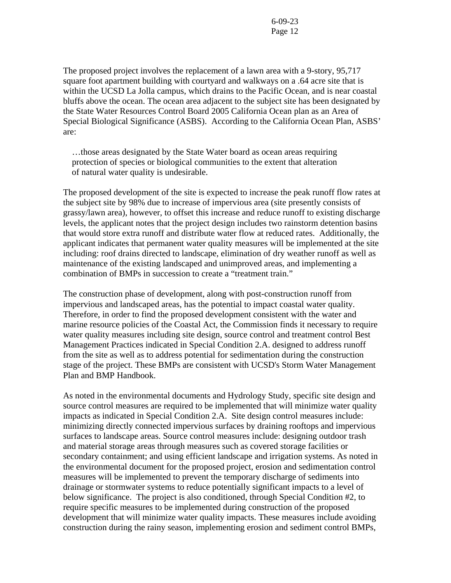The proposed project involves the replacement of a lawn area with a 9-story, 95,717 square foot apartment building with courtyard and walkways on a .64 acre site that is within the UCSD La Jolla campus, which drains to the Pacific Ocean, and is near coastal bluffs above the ocean. The ocean area adjacent to the subject site has been designated by the State Water Resources Control Board 2005 California Ocean plan as an Area of Special Biological Significance (ASBS). According to the California Ocean Plan, ASBS' are:

 …those areas designated by the State Water board as ocean areas requiring protection of species or biological communities to the extent that alteration of natural water quality is undesirable.

The proposed development of the site is expected to increase the peak runoff flow rates at the subject site by 98% due to increase of impervious area (site presently consists of grassy/lawn area), however, to offset this increase and reduce runoff to existing discharge levels, the applicant notes that the project design includes two rainstorm detention basins that would store extra runoff and distribute water flow at reduced rates. Additionally, the applicant indicates that permanent water quality measures will be implemented at the site including: roof drains directed to landscape, elimination of dry weather runoff as well as maintenance of the existing landscaped and unimproved areas, and implementing a combination of BMPs in succession to create a "treatment train."

The construction phase of development, along with post-construction runoff from impervious and landscaped areas, has the potential to impact coastal water quality. Therefore, in order to find the proposed development consistent with the water and marine resource policies of the Coastal Act, the Commission finds it necessary to require water quality measures including site design, source control and treatment control Best Management Practices indicated in Special Condition 2.A. designed to address runoff from the site as well as to address potential for sedimentation during the construction stage of the project. These BMPs are consistent with UCSD's Storm Water Management Plan and BMP Handbook.

As noted in the environmental documents and Hydrology Study, specific site design and source control measures are required to be implemented that will minimize water quality impacts as indicated in Special Condition 2.A. Site design control measures include: minimizing directly connected impervious surfaces by draining rooftops and impervious surfaces to landscape areas. Source control measures include: designing outdoor trash and material storage areas through measures such as covered storage facilities or secondary containment; and using efficient landscape and irrigation systems. As noted in the environmental document for the proposed project, erosion and sedimentation control measures will be implemented to prevent the temporary discharge of sediments into drainage or stormwater systems to reduce potentially significant impacts to a level of below significance. The project is also conditioned, through Special Condition #2, to require specific measures to be implemented during construction of the proposed development that will minimize water quality impacts. These measures include avoiding construction during the rainy season, implementing erosion and sediment control BMPs,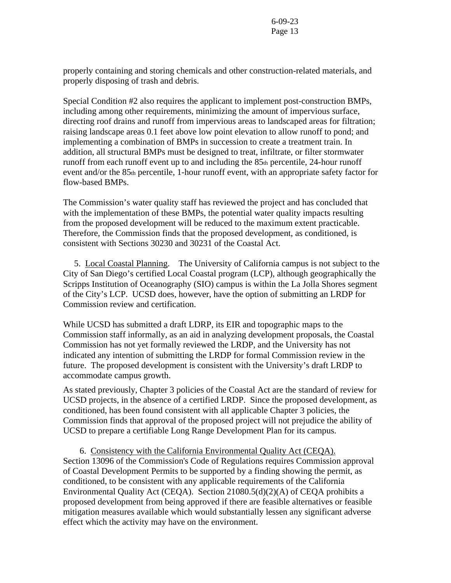properly containing and storing chemicals and other construction-related materials, and properly disposing of trash and debris.

Special Condition #2 also requires the applicant to implement post-construction BMPs, including among other requirements, minimizing the amount of impervious surface, directing roof drains and runoff from impervious areas to landscaped areas for filtration; raising landscape areas 0.1 feet above low point elevation to allow runoff to pond; and implementing a combination of BMPs in succession to create a treatment train. In addition, all structural BMPs must be designed to treat, infiltrate, or filter stormwater runoff from each runoff event up to and including the 85th percentile, 24-hour runoff event and/or the 85th percentile, 1-hour runoff event, with an appropriate safety factor for flow-based BMPs.

The Commission's water quality staff has reviewed the project and has concluded that with the implementation of these BMPs, the potential water quality impacts resulting from the proposed development will be reduced to the maximum extent practicable. Therefore, the Commission finds that the proposed development, as conditioned, is consistent with Sections 30230 and 30231 of the Coastal Act.

 5. Local Coastal Planning. The University of California campus is not subject to the City of San Diego's certified Local Coastal program (LCP), although geographically the Scripps Institution of Oceanography (SIO) campus is within the La Jolla Shores segment of the City's LCP. UCSD does, however, have the option of submitting an LRDP for Commission review and certification.

While UCSD has submitted a draft LDRP, its EIR and topographic maps to the Commission staff informally, as an aid in analyzing development proposals, the Coastal Commission has not yet formally reviewed the LRDP, and the University has not indicated any intention of submitting the LRDP for formal Commission review in the future. The proposed development is consistent with the University's draft LRDP to accommodate campus growth.

As stated previously, Chapter 3 policies of the Coastal Act are the standard of review for UCSD projects, in the absence of a certified LRDP. Since the proposed development, as conditioned, has been found consistent with all applicable Chapter 3 policies, the Commission finds that approval of the proposed project will not prejudice the ability of UCSD to prepare a certifiable Long Range Development Plan for its campus.

 6. Consistency with the California Environmental Quality Act (CEQA). Section 13096 of the Commission's Code of Regulations requires Commission approval of Coastal Development Permits to be supported by a finding showing the permit, as conditioned, to be consistent with any applicable requirements of the California Environmental Quality Act (CEQA). Section 21080.5(d)(2)(A) of CEQA prohibits a proposed development from being approved if there are feasible alternatives or feasible mitigation measures available which would substantially lessen any significant adverse effect which the activity may have on the environment.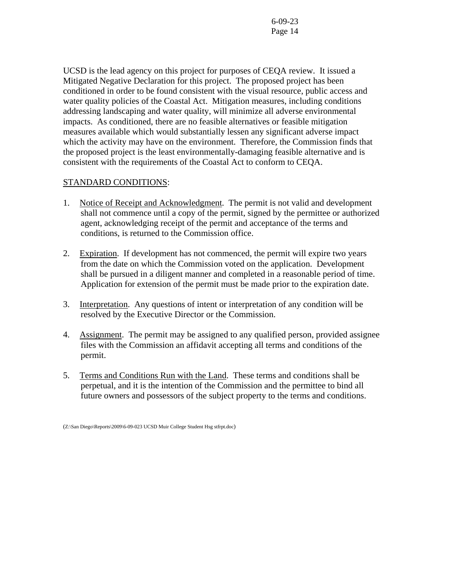UCSD is the lead agency on this project for purposes of CEQA review. It issued a Mitigated Negative Declaration for this project. The proposed project has been conditioned in order to be found consistent with the visual resource, public access and water quality policies of the Coastal Act. Mitigation measures, including conditions addressing landscaping and water quality, will minimize all adverse environmental impacts. As conditioned, there are no feasible alternatives or feasible mitigation measures available which would substantially lessen any significant adverse impact which the activity may have on the environment. Therefore, the Commission finds that the proposed project is the least environmentally-damaging feasible alternative and is consistent with the requirements of the Coastal Act to conform to CEQA.

#### STANDARD CONDITIONS:

- 1. Notice of Receipt and Acknowledgment. The permit is not valid and development shall not commence until a copy of the permit, signed by the permittee or authorized agent, acknowledging receipt of the permit and acceptance of the terms and conditions, is returned to the Commission office.
- 2. Expiration. If development has not commenced, the permit will expire two years from the date on which the Commission voted on the application. Development shall be pursued in a diligent manner and completed in a reasonable period of time. Application for extension of the permit must be made prior to the expiration date.
- 3. Interpretation. Any questions of intent or interpretation of any condition will be resolved by the Executive Director or the Commission.
- 4. Assignment. The permit may be assigned to any qualified person, provided assignee files with the Commission an affidavit accepting all terms and conditions of the permit.
- 5. Terms and Conditions Run with the Land. These terms and conditions shall be perpetual, and it is the intention of the Commission and the permittee to bind all future owners and possessors of the subject property to the terms and conditions.

<sup>(</sup>Z:\San Diego\Reports\2009\6-09-023 UCSD Muir College Student Hsg stfrpt.doc)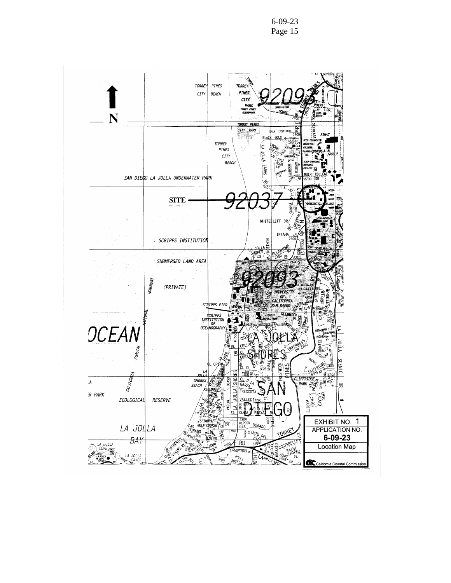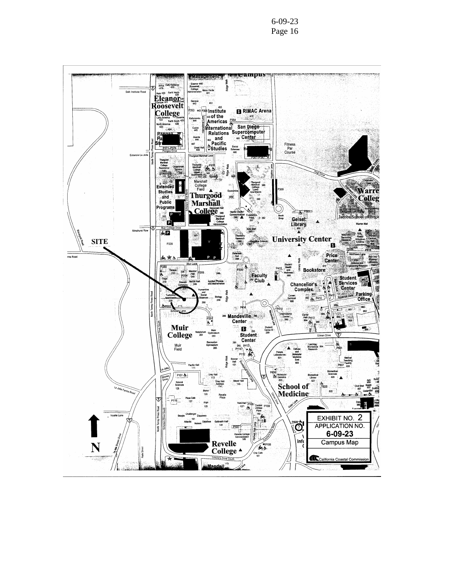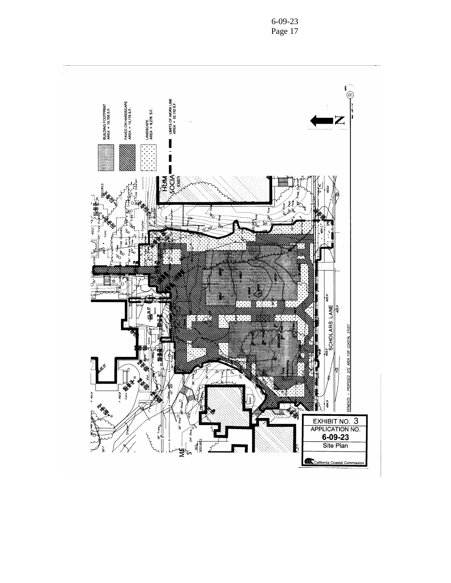

6-09-23 Page 17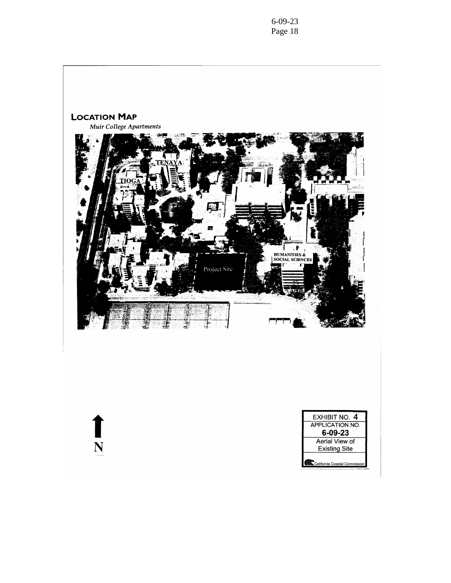